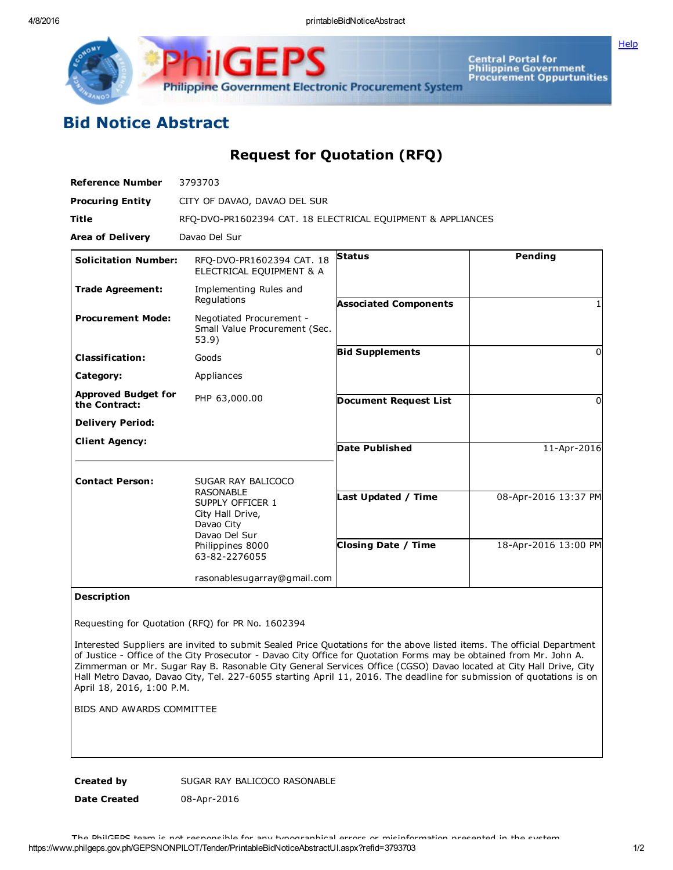**[Help](javascript:void(window.open()** 



Central Portal for<br>Philippine Government<br>Procurement Oppurtunities

## Bid Notice Abstract

Request for Quotation (RFQ)

| <b>Reference Number</b>                     | 3793703                                                                                                                    |                                                   |                                              |
|---------------------------------------------|----------------------------------------------------------------------------------------------------------------------------|---------------------------------------------------|----------------------------------------------|
| <b>Procuring Entity</b>                     | CITY OF DAVAO, DAVAO DEL SUR                                                                                               |                                                   |                                              |
| <b>Title</b>                                | RFO-DVO-PR1602394 CAT. 18 ELECTRICAL EQUIPMENT & APPLIANCES                                                                |                                                   |                                              |
| <b>Area of Delivery</b>                     | Davao Del Sur                                                                                                              |                                                   |                                              |
| <b>Solicitation Number:</b>                 | RFO-DVO-PR1602394 CAT. 18<br>ELECTRICAL EQUIPMENT & A                                                                      | <b>Status</b>                                     | Pending                                      |
| <b>Trade Agreement:</b>                     | Implementing Rules and<br>Regulations                                                                                      | <b>Associated Components</b>                      |                                              |
| <b>Procurement Mode:</b>                    | Negotiated Procurement -<br>Small Value Procurement (Sec.<br>53.9)                                                         |                                                   |                                              |
| <b>Classification:</b>                      | Goods                                                                                                                      | <b>Bid Supplements</b>                            | $\Omega$                                     |
| Category:                                   | Appliances                                                                                                                 |                                                   |                                              |
| <b>Approved Budget for</b><br>the Contract: | PHP 63,000.00                                                                                                              | <b>Document Request List</b>                      | $\Omega$                                     |
| <b>Delivery Period:</b>                     |                                                                                                                            |                                                   |                                              |
| <b>Client Agency:</b>                       |                                                                                                                            | <b>Date Published</b>                             | 11-Apr-2016                                  |
| <b>Contact Person:</b>                      | SUGAR RAY BALICOCO<br>RASONABLE<br>SUPPLY OFFICER 1<br>City Hall Drive,<br>Davao City<br>Davao Del Sur<br>Philippines 8000 | Last Updated / Time<br><b>Closing Date / Time</b> | 08-Apr-2016 13:37 PM<br>18-Apr-2016 13:00 PM |
|                                             | 63-82-2276055<br>rasonablesugarray@gmail.com                                                                               |                                                   |                                              |

## Description

Requesting for Quotation (RFQ) for PR No. 1602394

Interested Suppliers are invited to submit Sealed Price Quotations for the above listed items. The official Department of Justice - Office of the City Prosecutor - Davao City Office for Quotation Forms may be obtained from Mr. John A. Zimmerman or Mr. Sugar Ray B. Rasonable City General Services Office (CGSO) Davao located at City Hall Drive, City Hall Metro Davao, Davao City, Tel. 2276055 starting April 11, 2016. The deadline for submission of quotations is on April 18, 2016, 1:00 P.M.

BIDS AND AWARDS COMMITTEE

Created by SUGAR RAY BALICOCO RASONABLE

Date Created 08-Apr-2016